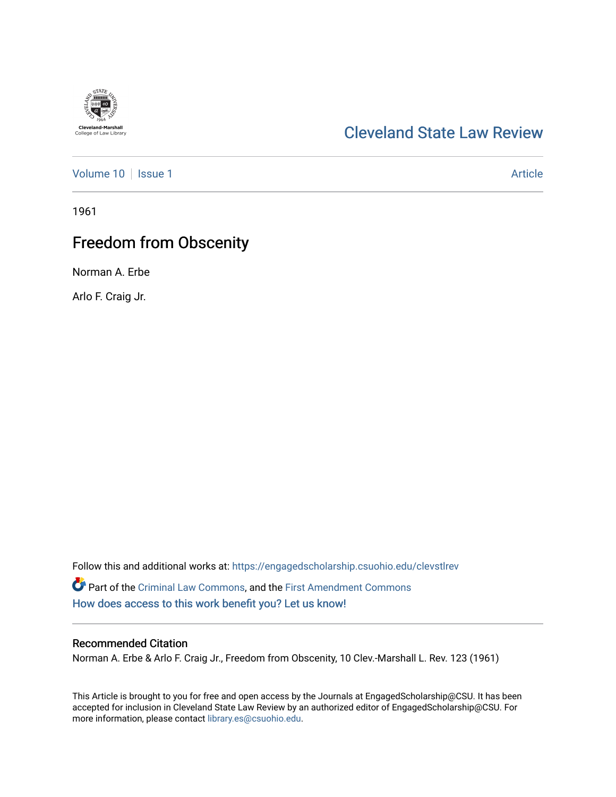# [Cleveland State Law Review](https://engagedscholarship.csuohio.edu/clevstlrev)

[Volume 10](https://engagedscholarship.csuohio.edu/clevstlrev/vol10) | [Issue 1](https://engagedscholarship.csuohio.edu/clevstlrev/vol10/iss1) Article

1961

# Freedom from Obscenity

Norman A. Erbe

Arlo F. Craig Jr.

Follow this and additional works at: [https://engagedscholarship.csuohio.edu/clevstlrev](https://engagedscholarship.csuohio.edu/clevstlrev?utm_source=engagedscholarship.csuohio.edu%2Fclevstlrev%2Fvol10%2Fiss1%2F14&utm_medium=PDF&utm_campaign=PDFCoverPages) Part of the [Criminal Law Commons,](http://network.bepress.com/hgg/discipline/912?utm_source=engagedscholarship.csuohio.edu%2Fclevstlrev%2Fvol10%2Fiss1%2F14&utm_medium=PDF&utm_campaign=PDFCoverPages) and the [First Amendment Commons](http://network.bepress.com/hgg/discipline/1115?utm_source=engagedscholarship.csuohio.edu%2Fclevstlrev%2Fvol10%2Fiss1%2F14&utm_medium=PDF&utm_campaign=PDFCoverPages)  [How does access to this work benefit you? Let us know!](http://library.csuohio.edu/engaged/)

# Recommended Citation

Norman A. Erbe & Arlo F. Craig Jr., Freedom from Obscenity, 10 Clev.-Marshall L. Rev. 123 (1961)

This Article is brought to you for free and open access by the Journals at EngagedScholarship@CSU. It has been accepted for inclusion in Cleveland State Law Review by an authorized editor of EngagedScholarship@CSU. For more information, please contact [library.es@csuohio.edu](mailto:library.es@csuohio.edu).

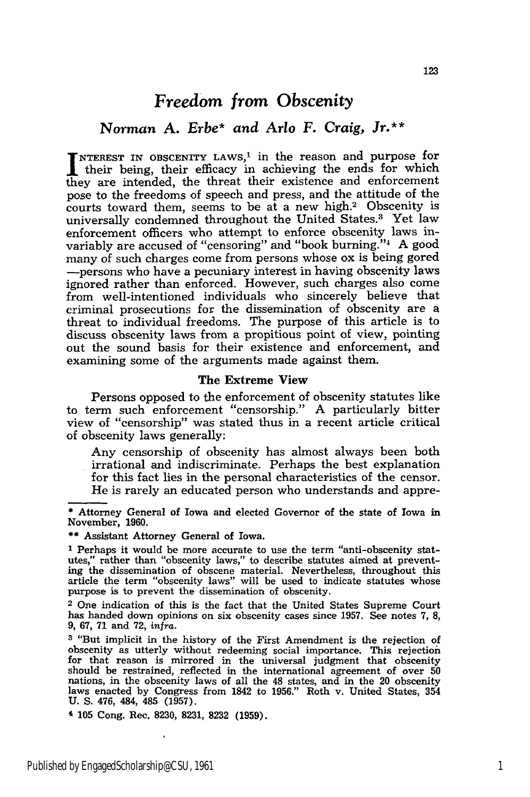# *Freedom from Obscenity*

# *Norman A. Erbe\* and* **Arlo** *F. Craig, Jr.\*\**

NTEREST IN OBSCENITY LAWS,<sup>1</sup> in the reason and purpose for their being, their efficacy in achieving the ends for which **their being, their efficacy in achieving the ends for which they are intended, the threat their existence and enforcement** pose to the freedoms of speech and press, and the attitude of the courts toward them, seems to be at a new high.2 Obscenity is universally condemned throughout the United States.<sup>3</sup> Yet law enforcement officers who attempt to enforce obscenity laws invariably are accused of "censoring" and "book burning."'4 A good many of such charges come from persons whose ox is being gored -persons who have a pecuniary interest in having obscenity laws ignored rather than enforced. However, such charges also come from well-intentioned individuals who sincerely believe that criminal prosecutions for the dissemination of obscenity are a threat to individual freedoms. The purpose of this article is to discuss obscenity laws from a propitious point of view, pointing out the sound basis for their existence and enforcement, and examining some of the arguments made against them.

## **The Extreme View**

Persons opposed to the enforcement of obscenity statutes like to term such enforcement "censorship." **A** particularly bitter view of "censorship" was stated thus in a recent article critical of obscenity laws generally:

Any censorship of obscenity has almost always been both irrational and indiscriminate. Perhaps the best explanation for this fact lies in the personal characteristics of the censor. He is rarely an educated person who understands and appre-

2 One indication of this is the fact that the United States Supreme Court has handed down opinions on six obscenity cases since **1957.** See notes **7, 8, 9, 67, 71** and 72, *infra.*

**3** "But implicit in the history of the First Amendment is the rejection of obscenity as utterly without redeeming social importance. This rejection for that reason is mirrored in the universal judgment that obscenity should be restrained, reflected in the international agreement of over 50 nations, in the obscenity laws of all the 48 states, and in the 20 obscenity laws enacted by Congress from 1842 to 1956." Roth v. United States, 354 U. **S.** 476, 484, 485 (1957).

**4 105** Cong. Rec. **8230, 8231, 8232 (1959).**

<sup>\*</sup>Attorney General of Iowa and elected Governor of the state of Iowa in November, **1960.**

<sup>\*\*</sup> Assistant Attorney General of Iowa.

**<sup>1</sup>** Perhaps it would be more accurate to use the term "anti-obscenity statutes," rather than "obscenity laws," to describe statutes aimed at preventing the dissemination of obscene material. Nevertheless, throughout this article the term "obscenity laws" will be used to indicate statutes whose purpose is to prevent the dissemination of obscenity.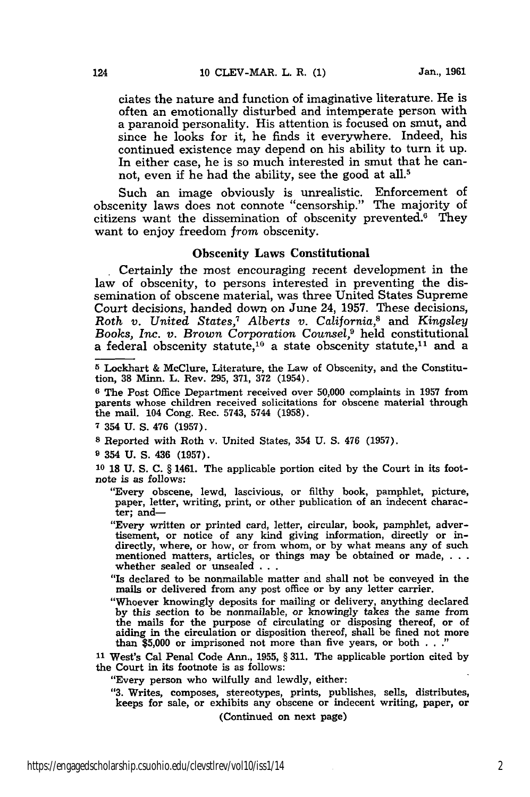ciates the nature and function of imaginative literature. He is often an emotionally disturbed and intemperate person with a paranoid personality. His attention is focused on smut, and since he looks for it, he finds it everywhere. Indeed, his continued existence may depend on his ability to turn it up. In either case, he is so much interested in smut that he cannot, even if he had the ability, see the good at all.<sup>5</sup>

Such an image obviously is unrealistic. Enforcement of obscenity laws does not connote "censorship." The majority of citizens want the dissemination of obscenity prevented.6 They want to enjoy freedom *from* obscenity.

# Obscenity **Laws Constitutional**

Certainly the most encouraging recent development in the law of obscenity, to persons interested in preventing the dissemination of obscene material, was three United States Supreme Court decisions, handed down on June 24, 1957. These decisions, *Roth v. United States,7 Alberts v. California,8* and *Kingsley Books, Inc. v. Brown Corporation Counsel,9* held constitutional a federal obscenity statute,<sup>10</sup> a state obscenity statute,<sup>11</sup> and a

**6** The Post Office Department received over 50,000 complaints in 1957 from parents whose children received solicitations for obscene material through the mail. 104 Cong. Rec. 5743, 5744 (1958).

- **8** Reported with Roth v. United States, 354 U. S. 476 (1957).
- **9** 354 U. S. 436 (1957).

**10** 18 U. S. C. § 1461. The applicable portion cited by the Court in its footnote is as follows:

"Every obscene, lewd, lascivious, or filthy book, pamphlet, picture, paper, letter, writing, print, or other publication of an indecent character; and-

"Every written or printed card, letter, circular, book, pamphlet, advertisement, or notice of any kind giving information, directly or indirectly, where, or how, or from whom, or by what means any of such mentioned matters, articles, or things may be obtained or made, whether sealed or unsealed **. ..**

"Is declared to be nonmailable matter and shall not be conveyed in the mails or delivered from any post office or **by** any letter carrier.

"Whoever knowingly deposits for mailing or delivery, anything declared **by** this section to be nonmailable, or knowingly takes the same from the mails for the purpose of circulating or disposing thereof, or of aiding in the circulation or disposition thereof, shall be fined not more than \$5,000 or imprisoned not more than five years, or both . . **."**

**<sup>11</sup>**West's Cal Penal Code Ann., 1955, § 311. The applicable portion cited by the Court in its footnote is as follows:

"Every person who wilfully and lewdly, either:

**"3.** Writes, composes, stereotypes, prints, publishes, sells, distributes, keeps for sale, or exhibits any obscene or indecent writing, paper, or

(Continued on next page)

**<sup>5</sup>** Lockhart & McClure, Literature, the Law of Obscenity, and the Constitution, **38** Minn. L. Rev. 295, 371, 372 (1954).

**<sup>7</sup>** 354 U. S. 476 (1957).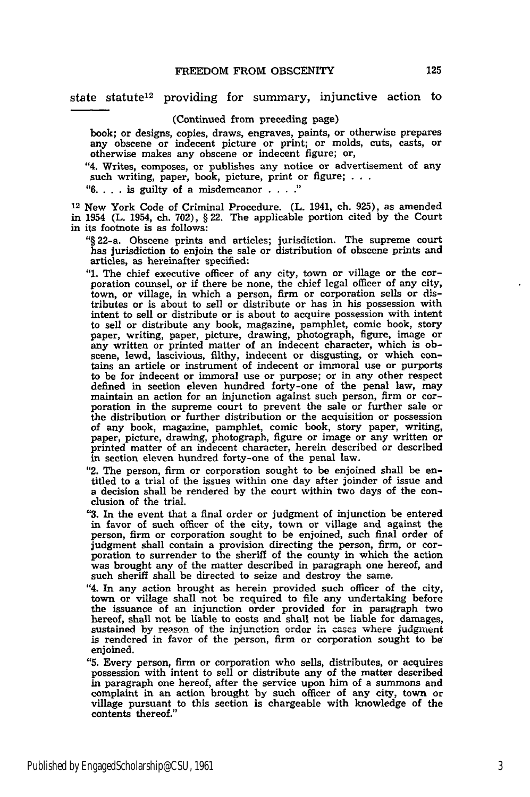state statute<sup>12</sup> providing for summary, injunctive action to

#### (Continued from preceding page)

book; or designs, copies, draws, engraves, paints, or otherwise prepares any obscene or indecent picture or print; or molds, cuts, casts, or otherwise makes any obscene or indecent figure; or,

"4. Writes, composes, or publishes any notice or advertisement of any such writing, paper, book, picture, print or figure; **. . .**

**"6.** . **.** .is guilty of a misdemeanor . **..."**

**<sup>12</sup>**New York Code of Criminal Procedure. (L. 1941, ch. 925), as amended in 1954 (L. 1954, ch. 702), § 22. The applicable portion cited by the Court in its footnote is as follows:

"§ 22-a. Obscene prints and articles; jurisdiction. The supreme court has jurisdiction to enjoin the sale or distribution of obscene prints and articles, as hereinafter specified:

- "1. The chief executive officer of any city, town or village or the corporation counsel, or if there be none, the chief legal officer of any city, town, or village, in which a person, firm or corporation sells or distributes or is about to sell or distribute or has in his possession with intent to sell or distribute or is about to acquire possession with intent to sell or distribute any book, magazine, pamphlet, comic book, story paper, writing, paper, picture, drawing, photograph, figure, image or any written or printed matter of an indecent character, which is obscene, lewd, lascivious, filthy, indecent or disgusting, or which contains an article or instrument of indecent or immoral use or purports to be for indecent or immoral use or purpose; or in any other respect defined in section eleven hundred forty-one of the penal law, may maintain an action for an injunction against such person, firm or corporation in the supreme court to prevent the sale or further sale or the distribution or further distribution or the acquisition or possession of any book, magazine, pamphlet, comic book, story paper, writing, paper, picture, drawing, photograph, figure or image or any written or printed matter of an indecent character, herein described or described in section eleven hundred forty-one of the penal law.
- **"2.** The person, firm or corporation sought to be enjoined shall be entitled to a trial of the issues within one day after joinder of issue and a decision shall be rendered by the court within two days of the conclusion of the trial.
- **"3.** In the event that a final order or judgment of injunction be entered in favor of such officer of the city, town or village and against the person, firm or corporation sought to be enjoined, such final order of judgment shall contain a provision directing the person, firm, or corporation to surrender to the sheriff of the county in which the action was brought any of the matter described in paragraph one hereof, and such sheriff shall be directed to seize and destroy the same.
- "4. In any action brought as herein provided such officer of the city, town or village shall not be required to file any undertaking before the issuance of an injunction order provided for in paragraph two hereof, shall not be liable to costs and shall not be liable for damages, sustained by reason of the injunction order in cases where judgment is rendered in favor of the person, firm or corporation sought to be enjoined.
- **"5.** Every person, firm or corporation who sells, distributes, or acquires possession with intent to sell or distribute any of the matter described in paragraph one hereof, after the service upon him of a summons and complaint in an action brought **by** such officer of any city, town or village pursuant to this section is chargeable with knowledge of the contents thereof."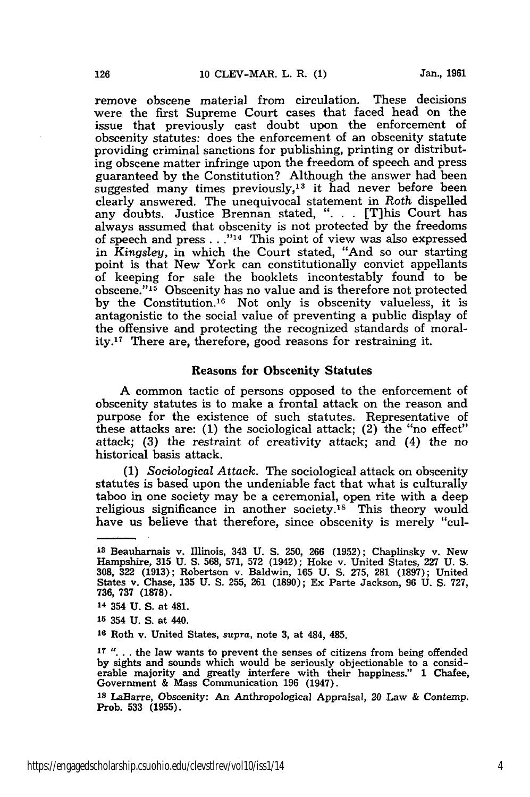remove obscene material from circulation. These decisions were the first Supreme Court cases that faced head on the issue that previously cast doubt upon the enforcement of obscenity statutes: does the enforcement of an obscenity statute providing criminal sanctions for publishing, printing or distributing obscene matter infringe upon the freedom of speech and press guaranteed by the Constitution? Although the answer had been suggested many times previously,<sup>13</sup> it had never before been clearly answered. The unequivocal statement in *Roth* dispelled any doubts. Justice Brennan stated, ". . . [T]his Court has always assumed that obscenity is not protected by the freedoms of speech and press **... <sup>14</sup>**This point of view was also expressed in *Kingsley,* in which the Court stated, "And so our starting point is that New York can constitutionally convict appellants of keeping for sale the booklets incontestably found to be obscene."<sup>15</sup> Obscenity has no value and is therefore not protected by the Constitution.'6 Not only is obscenity valueless, it is antagonistic to the social value of preventing a public display of the offensive and protecting the recognized standards of morality.17 There are, therefore, good reasons for restraining it.

# Reasons for Obscenity Statutes

A common tactic of persons opposed to the enforcement of obscenity statutes is to make a frontal attack on the reason and purpose for the existence of such statutes. Representative of these attacks are: (1) the sociological attack; (2) the "no effect" attack; (3) the restraint of creativity attack; and (4) the no historical basis attack.

(1) Sociological *Attack.* The sociological attack on obscenity statutes is based upon the undeniable fact that what is culturally taboo in one society may be a ceremonial, open rite with a deep religious significance in another society.<sup>18</sup> This theory would have us believe that therefore, since obscenity is merely "cul-

**<sup>1</sup>** Beauharnais v. Illinois, 343 **U. S. 250, 266 (1952);** Chaplinsky v. New Hampshire, **315 U. S. 568, 571, 572** (1942); Hoke v. United States, **227 U. S. 308, 322** (1913); Robertson v. Baldwin, 165 U. S. 275, **281** (1897); United States v. Chase, **135** U. **S.** 255, 261 (1890); Ex Parte Jackson, **96** U. **S.** 727, **736, 737 (1878).**

**<sup>14</sup>**354 **U. S.** at 481.

**<sup>15</sup>**354 **U. S.** at 440.

**<sup>16</sup>**Roth v. United States, *supra,* note **3,** at 484, 485.

**<sup>17</sup>".. .** the law wants to prevent the senses of citizens from being offended **by** sights and sounds which would be seriously objectionable to a considerable majority and greatly interfere with their happiness." 1 Chafee Government & Mass Communication **196** (1947).

**<sup>18</sup>**LaBarre, Obscenity: An Anthropological Appraisal, 20 Law & Contemp. Prob. **533 (1955).**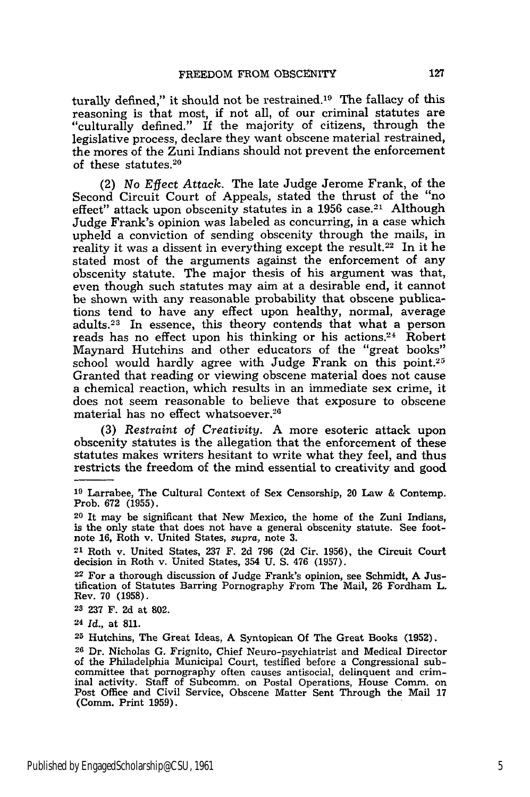turally defined," it should not be restrained. $19$  The fallacy of this reasoning is that most, if not all, of our criminal statutes are "culturally defined." If the majority of citizens, through the legislative process, declare they want obscene material restrained, the mores of the Zuni Indians should not prevent the enforcement of these statutes.20

(2) *No Effect Attack.* The late Judge Jerome Frank, of the Second Circuit Court of Appeals, stated the thrust of the "no effect" attack upon obscenity statutes in a 1956 case.<sup>21</sup> Although Judge Frank's opinion was labeled as concurring, in a case which upheld a conviction of sending obscenity through the mails, in reality it was a dissent in everything except the result.<sup>22</sup> In it he stated most of the arguments against the enforcement of any obscenity statute. The major thesis of his argument was that, even though such statutes may aim at a desirable end, it cannot be shown with any reasonable probability that obscene publications tend to have any effect upon healthy, normal, average adults. 23 In essence, this theory contends that what a person reads has no effect upon his thinking or his actions.<sup>24</sup> Robert Maynard Hutchins and other educators of the "great books" school would hardly agree with Judge Frank on this point.<sup>25</sup> Granted that reading or viewing obscene material does not cause a chemical reaction, which results in an immediate sex crime, it does not seem reasonable to believe that exposure to obscene material has no effect whatsoever.<sup>26</sup>

(3) *Restraint* of *Creativity.* A more esoteric attack upon obscenity statutes is the allegation that the enforcement of these statutes makes writers hesitant to write what they feel, and thus restricts the freedom of the mind essential to creativity and good

**23 237** F. **2d** at **802.**

**<sup>24</sup>***Id.,* at **811.**

**<sup>25</sup>**Hutchins, The Great Ideas, A Syntopican Of The Great Books **(1952).**

**<sup>19</sup>**Larrabee, The Cultural Context of Sex Censorship, 20 Law & Contemp. Prob. **672** (1955).

<sup>20</sup> It may be significant that New Mexico, the home of the Zuni Indians, is the only state that does not have a general obscenity statute. See footnote 16, Roth v. United States, *supra,* note 3.

<sup>21</sup> Roth v. United States, 237 F. 2d 796 (2d Cir. 1956), the Circuit Court decision in Roth v. United States, 354 U. **S.** 476 (1957).

**<sup>22</sup>** For a thorough discussion of Judge Frank's opinion, see Schmidt, **A** Justification of Statutes Barring Pornography From The Mail, 26 Fordham L. Rev. **70** (1958).

**<sup>26</sup>**Dr. Nicholas **G.** Frignito, Chief Neuro-psychiatrist and Medical Director of the Philadelphia Municipal Court, testified before a Congressional subcommittee that pornography often causes antisocial, delinquent and criminal activity. Staff of Subcomm. on Postal Operations, House Comm. on Post Office and Civil Service, Obscene Matter Sent Through the Mail 17 (Comm. Print 1959).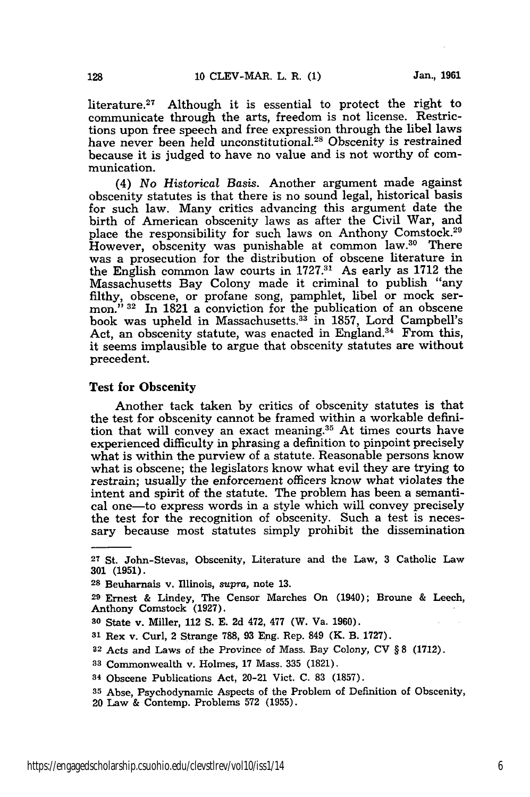literature.27 Although it is essential to protect the right to communicate through the arts, freedom is not license. Restrictions upon free speech and free expression through the libel laws have never been held unconstitutional.<sup>28</sup> Obscenity is restrained because it is judged to have no value and is not worthy of communication.

(4) *No Historical Basis.* Another argument made against obscenity statutes is that there is no sound legal, historical basis for such law. Many critics advancing this argument date the birth of American obscenity laws as after the Civil War, and place the responsibility for such laws on Anthony Comstock.<sup>29</sup> However, obscenity was punishable at common law.<sup>30</sup> There was a prosecution for the distribution of obscene literature in the English common law courts in **1727.3'** As early as 1712 the Massachusetts Bay Colony made it criminal to publish "any filthy, obscene, or profane song, pamphlet, libel or mock sermon." **32** In 1821 a conviction for the publication of an obscene book was upheld in Massachusetts.<sup>33</sup> in 1857, Lord Campbell's Act, an obscenity statute, was enacted in England.<sup>34</sup> From this, it seems implausible to argue that obscenity statutes are without precedent.

## Test **for Obscenity**

Another tack taken by critics of obscenity statutes is that the test for obscenity cannot be framed within a workable definition that will convey an exact meaning. 35 At times courts have experienced difficulty in phrasing a definition to pinpoint precisely what is within the purview of a statute. Reasonable persons know what is obscene; the legislators know what evil they are trying to restrain; usually the enforcement officers know what violates the intent and spirit of the statute. The problem has been a semantical one—to express words in a style which will convey precisely the test for the recognition of obscenity. Such a test is necessary because most statutes simply prohibit the dissemination

- **30** State v. Miller, 112 S. **E.** 2d 472, **477** (W. Va. 1960).
- **<sup>31</sup>**Rex v. Curl, 2 Strange **788,** 93 Eng. Rep. 849 (K. B. 1727).
- **<sup>32</sup>**Acts and Laws of the Province of Mass. Bay Colony, CV § **8** (1712).
- **33** Commonwealth v. Holmes, 17 Mass. 335 (1821).
- **<sup>34</sup>**Obscene Publications Act, 20-21 Vict. C. **83** (1857).
- **35** Abse, Psychodynamic Aspects of the Problem of Definition of Obscenity, 20 Law & Contemp. Problems 572 (1955).

**<sup>27</sup> St.** John-Stevas, Obscenity, Literature and the Law, **3** Catholic Law **301 (1951).**

**<sup>28</sup>**Beuharnais v. Illinois, *supra,* note **13.**

**<sup>29</sup>**Ernest & Lindey, The Censor Marches On (1940); Broune **&** Leech, Anthony Comstock (1927).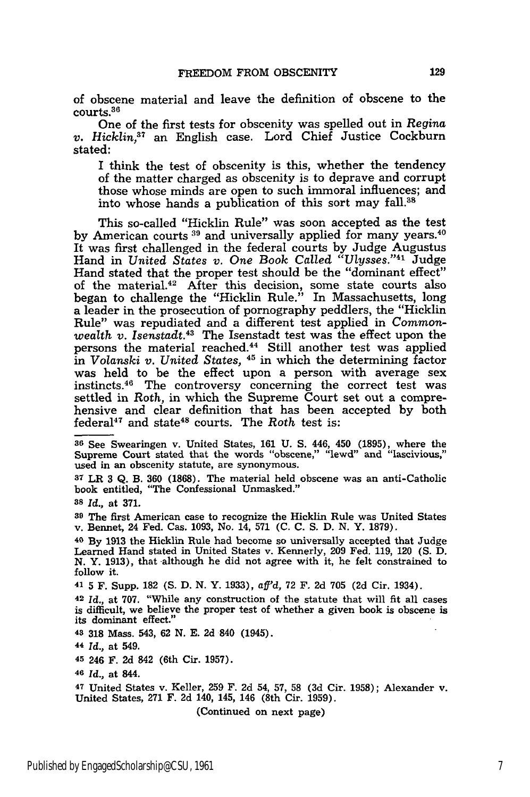of obscene material and leave the definition of obscene to the courts.36

One of the first tests for obscenity was spelled out in *Regina v. Hicklin,37* an English case. Lord Chief Justice Cockburn stated:

I think the test of obscenity is this, whether the tendency of the matter charged as obscenity is to deprave and corrupt those whose minds are open to such immoral influences; and into whose hands a publication of this sort may fall.<sup>38</sup>

This so-called "Hicklin Rule" was soon accepted as the test by American courts **39** and universally applied for many years.<sup>40</sup> It was first challenged in the federal courts by Judge Augustus Hand in *United States v. One Book Called "Ulysses.*"<sup>41</sup> Judge Hand stated that the proper test should be the "dominant effect" of the material.<sup>42</sup> After this decision, some state courts also began to challenge the "Hicklin Rule." In Massachusetts, long a leader in the prosecution of pornography peddlers, the "Hicklin Rule" was repudiated and a different test applied in *Commonwealth v. Isenstadt.43* The Isenstadt test was the effect upon the persons the material reached.<sup>44</sup> Still another test was applied in *Volanski v. United States,* 45 in which the determining factor was held to be the effect upon a person with average sex instincts.46 The controversy concerning the correct test was settled in Roth, in which the Supreme Court set out a comprehensive and clear definition that has been accepted by both federal47 and state 48 courts. The *Roth* test is:

**<sup>36</sup>**See Swearingen v. United States, 161 U. S. 446, 450 (1895), where the Supreme Court stated that the words "obscene," "lewd" and "lascivious," used in an obscenity statute, are synonymous.

**<sup>37</sup>**LR 3 Q. B. 360 (1868). The material held obscene was an anti-Catholic book entitled, "The Confessional Unmasked."

**38** *Id.,* at **371.**

**<sup>39</sup>**The first American case to recognize the Hicklin Rule was United States v. Bennet, 24 Fed. Cas. 1093, No. 14, 571 **(C. C.** S. D. N. Y. 1879).

**<sup>40</sup>**By 1913 the Hicklin Rule had become so universally accepted that Judge Learned Hand stated in United States v. Kennerly, 209 Fed. 119, 120 **(S.** D. N. Y. 1913), that although he did not agree with it, he felt constrained to follow it.

**<sup>41</sup>**5 F. Supp. **182 (S.** D. **N.** Y. 1933), aff'd, 72 F. 2d **705** (2d Cir. 1934).

<sup>42</sup>*Id.,* at **707.** "While any construction of the statute that will fit all cases is difficult, we believe the proper test of whether a given book is obscene is its dominant effect."

43 **318** Mass. 543, 62 **N.** E. 2d 840 (1945).

**<sup>44</sup>***Id.,* at 549.

**<sup>45</sup>**246 F. 2d 842 (6th Cir. 1957).

**<sup>46</sup>***Id.,* at 844.

**<sup>47</sup>**United States v. Keller, 259 F. 2d 54, 57, **58** (3d Cir. 1958); Alexander v. United States, 271 F. 2d 140, 145, 146 (8th Cir. 1959).

(Continued on next page)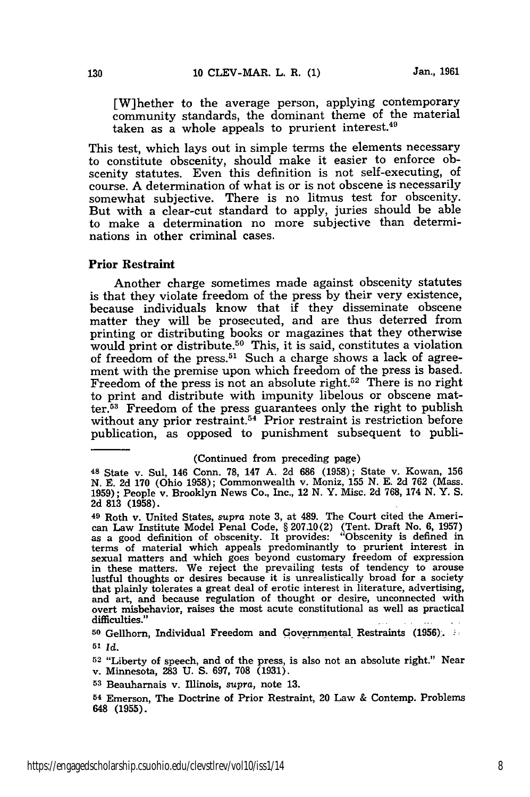[W]hether to the average person, applying contemporary community standards, the dominant theme of the material taken as a whole appeals to prurient interest. $49$ 

This test, which lays out in simple terms the elements necessary to constitute obscenity, should make it easier to enforce obscenity statutes. Even this definition is not self-executing, of course. **A** determination of what is or is not obscene is necessarily somewhat subjective. There is no litmus test for obscenity. But with a clear-cut standard to apply, juries should be able to make a determination no more subjective than determinations in other criminal cases.

#### **Prior Restraint**

Another charge sometimes made against obscenity statutes is that they violate freedom of the press **by** their very existence, because individuals know that if they disseminate obscene matter they will be prosecuted, and are thus deterred from printing or distributing books or magazines that they otherwise would print or distribute.<sup>50</sup> This, it is said, constitutes a violation of freedom of the press.<sup>51</sup> Such a charge shows a lack of agreement with the premise upon which freedom of the press is based. Freedom of the press is not an absolute right.<sup>52</sup> There is no right to print and distribute with impunity libelous or obscene matter.53 Freedom of the press guarantees only the right to publish without any prior restraint.<sup>54</sup> Prior restraint is restriction before publication, as opposed to punishment subsequent to publi-

<sup>(</sup>Continued from preceding page)

**<sup>48</sup>**State v. Sul, 146 Conn. **78,** 147 **A. 2d 686 (1958);** State v. Kowan, **156 N. E. 2d 170** (Ohio **1958);** Commonwealth v. Moniz, **155 N. E. 2d 762** (Mass. **1959);** People v. Brooklyn News Co., Inc., 12 **N.** Y. Misc. **2d 768,** 174 **N.** Y. **S. 2d 813 (1958).**

**<sup>49</sup>** Roth v. United States, *supra* note **3,** at 489. The Court cited the American Law Institute Model Penal Code, **§ 207.10(2)** (Tent. Draft No. **6, 1957)** as a good definition of obscenity. It provides: "Obscenity is defined in terms of material which appeals predominantly to prurient interest in sexual matters and which goes beyond customary freedom of expression in these matters. We reject the prevailing tests of tendency to arouse lustful thoughts or desires because it is unrealistically broad for a society that plainly tolerates a great deal of erotic interest in literature, advertising, and art, and because regulation of thought or desire, unconnected with overt misbehavior, raises the most acute constitutional as well as practical difficulties."

**<sup>50</sup>**Gellhorn, Individual Freedom and Governmental Restraints **(1956):. 51** *Id.*

**<sup>52</sup>**"Liberty of speech, and of the press, is also not an absolute right." Near v. Minnesota, **283 U. S. 697, 708 (1931).**

**<sup>53</sup>**Beauharnais v. Illinois, supra, note **13.**

**<sup>54</sup>**Emerson, The Doctrine of Prior Restraint, 20 Law **&** Contemp. Problems 648 **(1955).**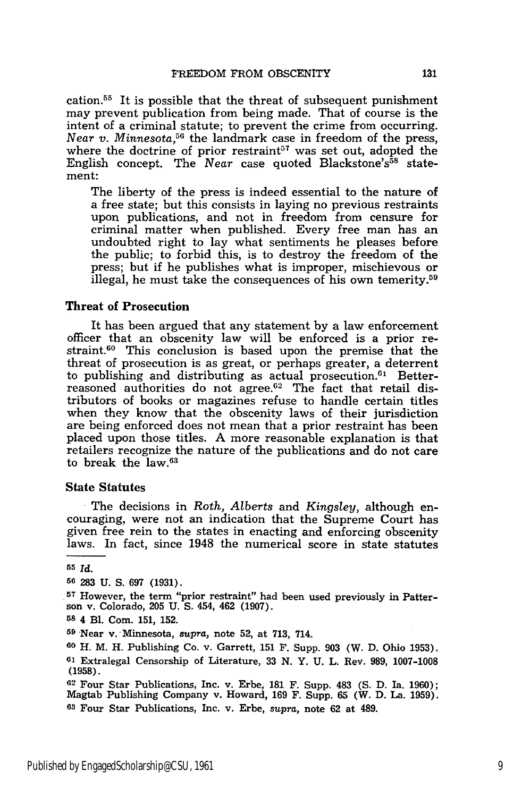cation.55 It is possible that the threat of subsequent punishment may prevent publication from being made. That of course is the intent of a criminal statute; to prevent the crime from occurring. *Near v. Minnesota*,<sup>56</sup> the landmark case in freedom of the press. where the doctrine of prior restraint<sup>57</sup> was set out, adopted the English concept. The *Near* case quoted Blackstone's<sup>58</sup> statement:

The liberty of the press is indeed essential to the nature of a free state; but this consists in laying no previous restraints upon publications, and not in freedom from censure for criminal matter when published. Every free man has an undoubted right to lay what sentiments he pleases before the public; to forbid this, is to destroy the freedom of the press; but if he publishes what is improper, mischievous or illegal, he must take the consequences of his own temerity.<sup>59</sup>

# Threat of Prosecution

It has been argued that any statement by a law enforcement officer that an obscenity law will be enforced is a prior restraint.<sup>60</sup> This conclusion is based upon the premise that the threat of prosecution is as great, or perhaps greater, a deterrent to publishing and distributing as actual prosecution. $61$  Betterreasoned authorities do not agree.<sup>62</sup> The fact that retail distributors of books or magazines refuse to handle certain titles when they know that the obscenity laws of their jurisdiction are being enforced does not mean that a prior restraint has been placed upon those titles. A more reasonable explanation is that retailers recognize the nature of the publications and do not care to break the law.63

# State Statutes

**.** The decisions in *Roth, Alberts* and *Kingsley,* although encouraging, were not an indication that the Supreme Court has given free rein to the states in enacting and enforcing obscenity laws. In fact, since 1948 the numerical score in state statutes

**<sup>55</sup>** *Id.*

**<sup>56 283</sup>** U. S. 697 (1931).

**<sup>57</sup>**However, the term "prior restraint" had been used previously in Patter- son v. Colorado, **205** U. **S.** 454, 462 (1907).

**<sup>58</sup>** 4 B1. Com. **151, 152.**

**<sup>59</sup>**Near v. Minnesota, *supra,* note **52,** at **713,** 714.

**<sup>60</sup>**H. M. H. Publishing Co. v. Garrett, **151** F. Supp. **903** (W. **D.** Ohio **1953). <sup>61</sup>**Extralegal Censorship of Literature, **33 N.** Y. **U.** L. Rev. **989, 1007-1008 (1958).**

**<sup>62</sup>**Four Star Publications, Inc. v. Erbe, **181** F. Supp. 483 **(S. D.** Ia. **1960);** Magtab Publishing Company v. Howard, **169** F. Supp. 65 (W. **D.** La. **1959). <sup>63</sup>**Four Star Publications, Inc. v. Erbe, *supra,* note **62** at 489.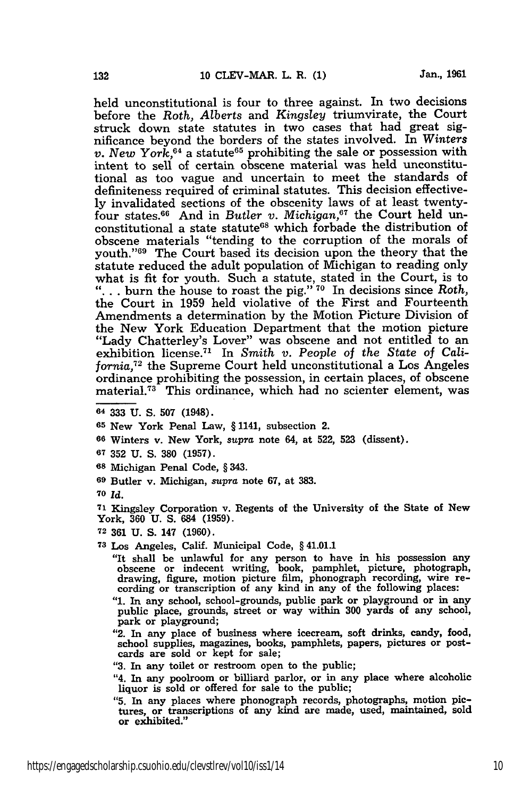held unconstitutional is four to three against. In two decisions before the *Roth, Alberts* and *Kingsley* triumvirate, the Court struck down state statutes in two cases that had great significance beyond the borders of the states involved. In *Winters v. New York*,  $64$  a statute<sup>65</sup> prohibiting the sale or possession with intent to sell of certain obscene material was held unconstitutional as too vague and uncertain to meet the standards of definiteness required of criminal statutes. This decision effectively invalidated sections of the obscenity laws of at least twentyfour states.66 And in *Butler v. Michigan,67* the Court held unconstitutional a state statute<sup>68</sup> which forbade the distribution of obscene materials "tending to the corruption of the morals of youth."<sup>69</sup> The Court based its decision upon the theory that the statute reduced the adult population of Michigan to reading only what is fit for youth. Such a statute, stated in the Court, is to **"...** burn the house to roast the pig." **70** In decisions since *Roth,* the Court in 1959 held violative of the First and Fourteenth Amendments a determination by the Motion Picture Division of the New York Education Department that the motion picture "Lady Chatterley's Lover" was obscene and not entitled to an exhibition license.71 In *Smith v. People of the State of California,72* the Supreme Court held unconstitutional a Los Angeles ordinance prohibiting the possession, in certain places, of obscene material.<sup>73</sup> This ordinance, which had no scienter element, was

- **65** New York Penal Law, § 1141, subsection 2.
- **<sup>66</sup>**Winters v. New York, *supra* note 64, at **522, 523** (dissent).
- **67 352 U. S. 380 (1957).**
- **68** Michigan Penal Code, § 343.
- **<sup>69</sup>**Butler v. Michigan, supra note **67,** at **383.**

**71** Kingsley Corporation v. Regents of the University of the State of New York, **360 U. S.** 684 **(1959).**

- **72 361 U. S.** 147 **(1960).**
- **73** Los Angeles, Calif. Municipal Code, § 41.01.1
	- "It shall be unlawful for any person to have in his possession any obscene or indecent writing, book, pamphlet, picture, photograph, drawing, figure, motion picture film, phonograph recording, wire recording or transcription of any kind in any of the following places:
	- **"1.** In any school, school-grounds, public park or playground or in any public place, grounds, street or way within **300** yards of any school, park or playground;
	- "2. In any place of business where icecream, soft drinks, candy, food, school supplies, magazines, books, pamphlets, papers, pictures or post-cards are sold or kept for sale;
	- **"3.** In any toilet or restroom open to the public;
	- "4. In any poolroom or billiard parlor, or in any place where alcoholic liquor is sold or offered for sale to the public;
	- **"5.** In any places where phonograph records, photographs, motion pic-tures, or transcriptions of any kind are made, used, maintained, sold or exhibited."

**<sup>64 333</sup> U. S. 507** (1948).

**<sup>70</sup>** *Id.*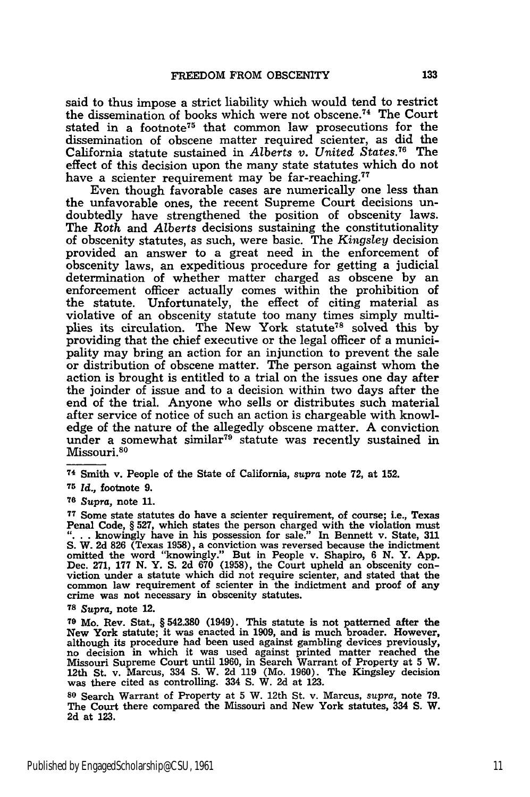said to thus impose a strict liability which would tend to restrict the dissemination of books which were not obscene.<sup>74</sup> The Court stated in a footnote<sup>75</sup> that common law prosecutions for the dissemination of obscene matter required scienter, as did the California statute sustained in *Alberts v. United States.*<sup>76</sup> The effect of this decision upon the many state statutes which do not have a scienter requirement may be far-reaching.<sup>77</sup>

Even though favorable cases are numerically one less than the unfavorable ones, the recent Supreme Court decisions undoubtedly have strengthened the position of obscenity laws. The *Roth* and *Alberts* decisions sustaining the constitutionality of obscenity statutes, as such, were basic. The *Kingsley* decision provided an answer to a great need in the enforcement of obscenity laws, an expeditious procedure for getting a judicial determination of whether matter charged as obscene by an enforcement officer actually comes within the prohibition of the statute. Unfortunately, the effect of citing material as violative of an obscenity statute too many times simply multiplies its circulation. The New York statute<sup>78</sup> solved this by providing that the chief executive or the legal officer of a municipality may bring an action for an injunction to prevent the sale or distribution of obscene matter. The person against whom the action is brought is entitled to a trial on the issues one day after the joinder of issue and to a decision within two days after the end of the trial. Anyone who sells or distributes such material after service of notice of such an action is chargeable with knowledge of the nature of the allegedly obscene matter. A conviction under a somewhat similar<sup>79</sup> statute was recently sustained in Missouri.<sup>80</sup>

**<sup>74</sup>**Smith v. People of the State of California, *supra* note **72,** at 152.

**<sup>75</sup>***Id.,* footnote 9.

**<sup>76</sup>***Supra,* note **11.**

**<sup>77</sup>**Some state statutes do have a scienter requirement, of course; i.e., Texas Penal Code, § **527,** which states the person charged with the violation must **".. .** knowingly have in his possession for sale." In Bennett v. State, **311 S.** W. **2d 826** (Texas **1958),** a conviction was reversed because the indictment omitted the word "knowingly." But in People v. Shapiro, **6 N.** Y. **App.** Dec. 271, 177 N. Y. S. 2d 670 (1958), the Court upheld an obscenity conviction under a statute which did not require scienter, and stated that the common law requirement of scienter in the indictment and proof of any common law requirement of scienter in the indictment and proof of any crime was not necessary in obscenity statutes.

**<sup>78</sup>***Supra,* note 12.

**<sup>79</sup>**Mo. Rev. Stat., § **542.380** (1949). This statute is not patterned after the New York statute; it was enacted in 1909, and is much broader. However, although its procedure had been used against gambling devices previously, no decision in which it was used against printed matter reached the Missouri Supreme Court until 1960, in Search Warrant of Property at **5** W. 12th St. v. Marcus, 334 **S.** W. **2d** 119 (Mo. 1960). The Kingsley decision was there cited as controlling. 334 **S.** W. 2d at 123.

**<sup>80</sup>**Search Warrant of Property at 5 W. 12th St. v. Marcus, supra, note 79. The Court there compared the Missouri and New York statutes, 334 **S.** W. **2d** at **123.**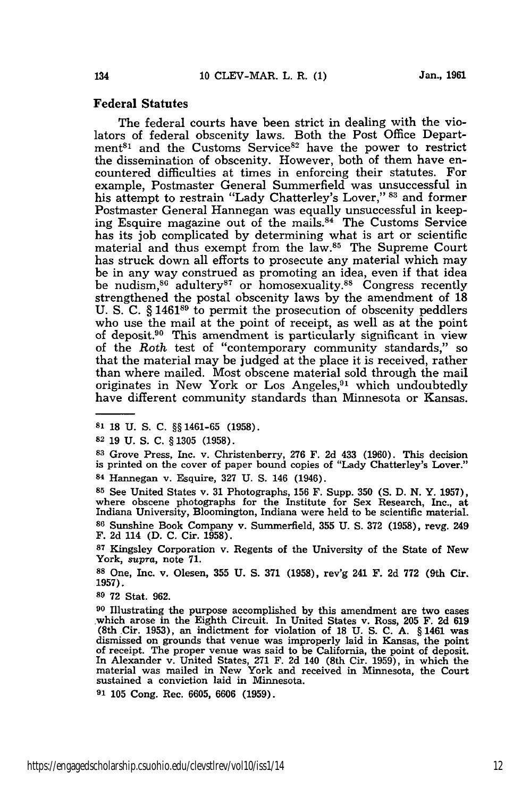## **Federal Statutes**

The federal courts have been strict in dealing with the violators of federal obscenity laws. Both the Post Office Department $81$  and the Customs Service $82$  have the power to restrict the dissemination of obscenity. However, both of them have encountered difficulties at times in enforcing their statutes. For example, Postmaster General Summerfield was unsuccessful in his attempt to restrain "Lady Chatterley's Lover," **83** and former Postmaster General Hannegan was equally unsuccessful in keeping Esquire magazine out of the mails.<sup>84</sup> The Customs Service has its job complicated by determining what is art or scientific material and thus exempt from the law.<sup>85</sup> The Supreme Court has struck down all efforts to prosecute any material which may be in any way construed as promoting an idea, even if that idea be nudism,<sup>86</sup> adultery<sup>87</sup> or homosexuality.<sup>88</sup> Congress recently strengthened the postal obscenity laws by the amendment of 18 U. S. C.  $\S$  1461 $89$  to permit the prosecution of obscenity peddlers who use the mail at the point of receipt, as well as at the point of deposit.<sup>90</sup> This amendment is particularly significant in view of the *Roth* test of "contemporary community standards," so that the material may be judged at the place it is received, rather than where mailed. Most obscene material sold through the mail originates in New York or Los Angeles,<sup>91</sup> which undoubtedly have different community standards than Minnesota or Kansas.

**81 18 U. S. C. §§ 1461-65 (1958).**

82 19 U. S. C. § 1305 (1958).

**<sup>83</sup>**Grove Press, Inc. v. Christenberry, **276** F. 2d 433 (1960). This decision is printed on the cover of paper bound copies of "Lady Chatterley's Lover." 84 Hannegan v. Esquire, **327** U. S. 146 (1946).

**<sup>85</sup>**See United States v. 31 Photographs, 156 F. Supp. **350** (S. D. **N.** Y. 1957), where obscene photographs for the Institute for Sex Research, Inc., at Indiana University, Bloomington, Indiana were held to be scientific material. **<sup>86</sup>**Sunshine Book Company v. Summerfield, 355 U. **S. 372** (1958), revg. 249 F. **2d** 114 (D. **C.** Cir. 1958).

**<sup>87</sup>**Kingsley Corporation v. Regents of the University of the State of New York, *supra,* note **71.**

**<sup>88</sup>**One, Inc. v. Olesen, **355 U. S. 371 (1958),** rev'g 241 F. **2d 772** (9th Cir. **1957).**

**89 72** Stat. **962.**

**<sup>90</sup>**Illustrating the purpose accomplished **by** this amendment are two cases which arose in the Eighth Circuit. In United States v. Ross, **205** F. **2d 619** (8th Cir. **1953),** an indictment for violation of **18 U. S. C. A.** § 1461 was dismissed on grounds that venue was improperly laid in Kansas, the point of receipt. The proper venue was said to be California, the point of deposit. In Alexander v. United States, **271** F. **2d** 140 (8th Cir. **1959),** in which the material was mailed in New York and received in Minnesota, the Court sustained a conviction laid in Minnesota.

**91 105** Cong. Rec. **6605, 6606 (1959).**